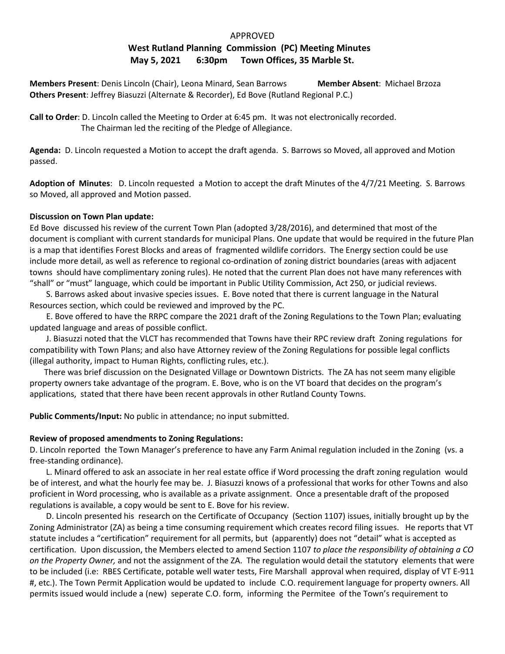# APPROVED **West Rutland Planning Commission (PC) Meeting Minutes May 5, 2021 6:30pm Town Offices, 35 Marble St.**

**Members Present**: Denis Lincoln (Chair), Leona Minard, Sean Barrows **Member Absent**: Michael Brzoza **Others Present**: Jeffrey Biasuzzi (Alternate & Recorder), Ed Bove (Rutland Regional P.C.)

**Call to Order**: D. Lincoln called the Meeting to Order at 6:45 pm. It was not electronically recorded. The Chairman led the reciting of the Pledge of Allegiance.

**Agenda:** D. Lincoln requested a Motion to accept the draft agenda. S. Barrows so Moved, all approved and Motion passed.

**Adoption of Minutes**: D. Lincoln requested a Motion to accept the draft Minutes of the 4/7/21 Meeting. S. Barrows so Moved, all approved and Motion passed.

### **Discussion on Town Plan update:**

Ed Bove discussed his review of the current Town Plan (adopted 3/28/2016), and determined that most of the document is compliant with current standards for municipal Plans. One update that would be required in the future Plan is a map that identifies Forest Blocks and areas of fragmented wildlife corridors. The Energy section could be use include more detail, as well as reference to regional co-ordination of zoning district boundaries (areas with adjacent towns should have complimentary zoning rules). He noted that the current Plan does not have many references with "shall" or "must" language, which could be important in Public Utility Commission, Act 250, or judicial reviews.

 S. Barrows asked about invasive species issues. E. Bove noted that there is current language in the Natural Resources section, which could be reviewed and improved by the PC.

 E. Bove offered to have the RRPC compare the 2021 draft of the Zoning Regulations to the Town Plan; evaluating updated language and areas of possible conflict.

 J. Biasuzzi noted that the VLCT has recommended that Towns have their RPC review draft Zoning regulations for compatibility with Town Plans; and also have Attorney review of the Zoning Regulations for possible legal conflicts (illegal authority, impact to Human Rights, conflicting rules, etc.).

 There was brief discussion on the Designated Village or Downtown Districts. The ZA has not seem many eligible property owners take advantage of the program. E. Bove, who is on the VT board that decides on the program's applications, stated that there have been recent approvals in other Rutland County Towns.

**Public Comments/Input:** No public in attendance; no input submitted.

## **Review of proposed amendments to Zoning Regulations:**

D. Lincoln reported the Town Manager's preference to have any Farm Animal regulation included in the Zoning (vs. a free-standing ordinance).

L. Minard offered to ask an associate in her real estate office if Word processing the draft zoning regulation would be of interest, and what the hourly fee may be. J. Biasuzzi knows of a professional that works for other Towns and also proficient in Word processing, who is available as a private assignment. Once a presentable draft of the proposed regulations is available, a copy would be sent to E. Bove for his review.

 D. Lincoln presented his research on the Certificate of Occupancy (Section 1107) issues, initially brought up by the Zoning Administrator (ZA) as being a time consuming requirement which creates record filing issues. He reports that VT statute includes a "certification" requirement for all permits, but (apparently) does not "detail" what is accepted as certification. Upon discussion, the Members elected to amend Section 1107 *to place the responsibility of obtaining a CO on the Property Owner,* and not the assignment of the ZA. The regulation would detail the statutory elements that were to be included (i.e: RBES Certificate, potable well water tests, Fire Marshall approval when required, display of VT E-911 #, etc.). The Town Permit Application would be updated to include C.O. requirement language for property owners. All permits issued would include a (new) seperate C.O. form, informing the Permitee of the Town's requirement to